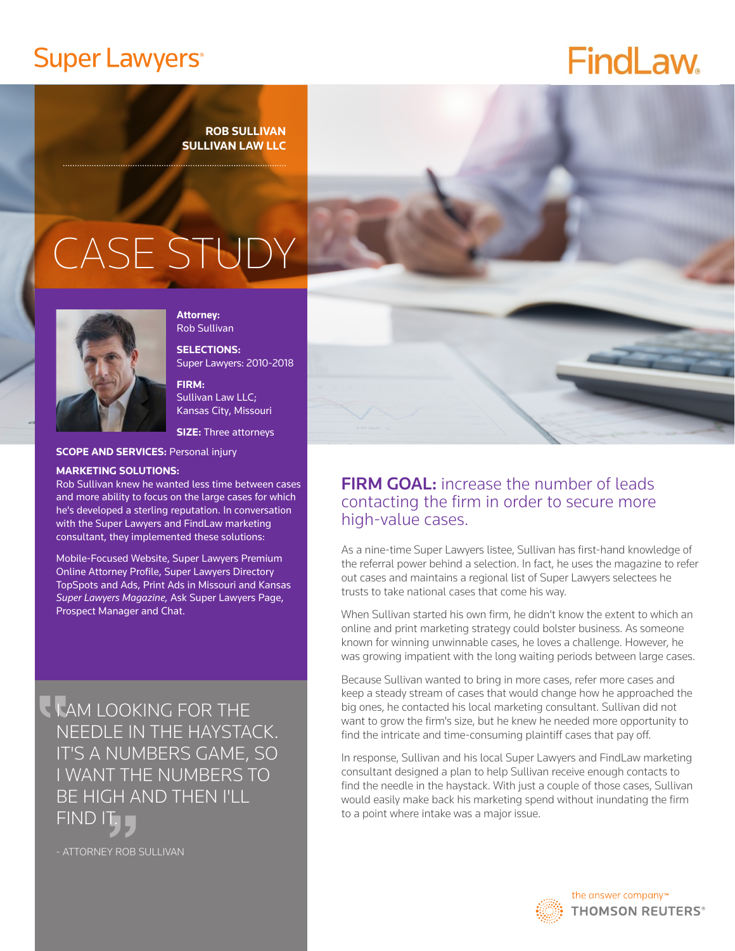# **Super Lawyers®**

# **FindLaw.**

#### **ROB SULLIVAN SULLIVAN LAW LLC**

# CASE STUDY

. . . . . . . . . . . . . . .



**Attorney:** Rob Sullivan

**SELECTIONS:** Super Lawyers: 2010-2018

**FIRM:**  Sullivan Law LLC; Kansas City, Missouri

**SIZE:** Three attorneys

**SCOPE AND SERVICES: Personal injury** 

#### **MARKETING SOLUTIONS:**

Rob Sullivan knew he wanted less time between cases and more ability to focus on the large cases for which he's developed a sterling reputation. In conversation with the Super Lawyers and FindLaw marketing consultant, they implemented these solutions:

Mobile-Focused Website, Super Lawyers Premium Online Attorney Profile, Super Lawyers Directory TopSpots and Ads, Print Ads in Missouri and Kansas *Super Lawyers Magazine,* Ask Super Lawyers Page, Prospect Manager and Chat.

**I AM LOOKING FOR THE** NEEDLE IN THE HAYSTACK. IT'S A NUMBERS GAME, SO I WANT THE NUMBERS TO BE HIGH AND THEN I'LL FIND IT.

- ATTORNEY ROB SULLIVAN



### FIRM GOAL: increase the number of leads contacting the firm in order to secure more high-value cases.

As a nine-time Super Lawyers listee, Sullivan has first-hand knowledge of the referral power behind a selection. In fact, he uses the magazine to refer out cases and maintains a regional list of Super Lawyers selectees he trusts to take national cases that come his way.

When Sullivan started his own firm, he didn't know the extent to which an online and print marketing strategy could bolster business. As someone known for winning unwinnable cases, he loves a challenge. However, he was growing impatient with the long waiting periods between large cases.

Because Sullivan wanted to bring in more cases, refer more cases and keep a steady stream of cases that would change how he approached the big ones, he contacted his local marketing consultant. Sullivan did not want to grow the firm's size, but he knew he needed more opportunity to find the intricate and time-consuming plaintiff cases that pay off.

In response, Sullivan and his local Super Lawyers and FindLaw marketing consultant designed a plan to help Sullivan receive enough contacts to find the needle in the haystack. With just a couple of those cases, Sullivan would easily make back his marketing spend without inundating the firm to a point where intake was a major issue.